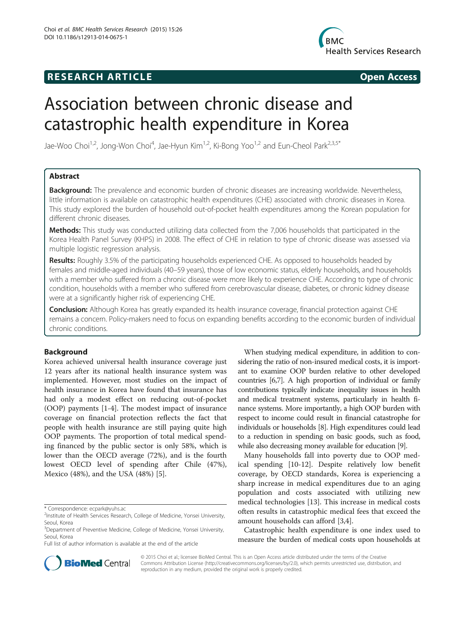# **RESEARCH ARTICLE Example 2014 CONSIDERING CONSIDERING CONSIDERING CONSIDERING CONSIDERING CONSIDERING CONSIDERING CONSIDERING CONSIDERING CONSIDERING CONSIDERING CONSIDERING CONSIDERING CONSIDERING CONSIDERING CONSIDE**



# Association between chronic disease and catastrophic health expenditure in Korea

Jae-Woo Choi<sup>1,2</sup>, Jong-Won Choi<sup>4</sup>, Jae-Hyun Kim<sup>1,2</sup>, Ki-Bong Yoo<sup>1,2</sup> and Eun-Cheol Park<sup>2,3,5\*</sup>

# Abstract

**Background:** The prevalence and economic burden of chronic diseases are increasing worldwide. Nevertheless, little information is available on catastrophic health expenditures (CHE) associated with chronic diseases in Korea. This study explored the burden of household out-of-pocket health expenditures among the Korean population for different chronic diseases.

Methods: This study was conducted utilizing data collected from the 7,006 households that participated in the Korea Health Panel Survey (KHPS) in 2008. The effect of CHE in relation to type of chronic disease was assessed via multiple logistic regression analysis.

Results: Roughly 3.5% of the participating households experienced CHE. As opposed to households headed by females and middle-aged individuals (40–59 years), those of low economic status, elderly households, and households with a member who suffered from a chronic disease were more likely to experience CHE. According to type of chronic condition, households with a member who suffered from cerebrovascular disease, diabetes, or chronic kidney disease were at a significantly higher risk of experiencing CHE.

**Conclusion:** Although Korea has greatly expanded its health insurance coverage, financial protection against CHE remains a concern. Policy-makers need to focus on expanding benefits according to the economic burden of individual chronic conditions.

# Background

Korea achieved universal health insurance coverage just 12 years after its national health insurance system was implemented. However, most studies on the impact of health insurance in Korea have found that insurance has had only a modest effect on reducing out-of-pocket (OOP) payments [\[1](#page-7-0)-[4](#page-7-0)]. The modest impact of insurance coverage on financial protection reflects the fact that people with health insurance are still paying quite high OOP payments. The proportion of total medical spending financed by the public sector is only 58%, which is lower than the OECD average (72%), and is the fourth lowest OECD level of spending after Chile (47%), Mexico (48%), and the USA (48%) [\[5\]](#page-7-0).

Full list of author information is available at the end of the article

When studying medical expenditure, in addition to considering the ratio of non-insured medical costs, it is important to examine OOP burden relative to other developed countries [\[6,7](#page-7-0)]. A high proportion of individual or family contributions typically indicate inequality issues in health and medical treatment systems, particularly in health finance systems. More importantly, a high OOP burden with respect to income could result in financial catastrophe for individuals or households [[8](#page-7-0)]. High expenditures could lead to a reduction in spending on basic goods, such as food, while also decreasing money available for education [\[9\]](#page-7-0).

Many households fall into poverty due to OOP medical spending [\[10](#page-7-0)-[12\]](#page-7-0). Despite relatively low benefit coverage, by OECD standards, Korea is experiencing a sharp increase in medical expenditures due to an aging population and costs associated with utilizing new medical technologies [[13\]](#page-7-0). This increase in medical costs often results in catastrophic medical fees that exceed the amount households can afford [[3](#page-7-0),[4](#page-7-0)].

Catastrophic health expenditure is one index used to measure the burden of medical costs upon households at



© 2015 Choi et al.; licensee BioMed Central. This is an Open Access article distributed under the terms of the Creative Commons Attribution License [\(http://creativecommons.org/licenses/by/2.0\)](http://creativecommons.org/licenses/by/2.0), which permits unrestricted use, distribution, and reproduction in any medium, provided the original work is properly credited.

<sup>\*</sup> Correspondence: [ecpark@yuhs.ac](mailto:ecpark@yuhs.ac) <sup>2</sup>

<sup>&</sup>lt;sup>2</sup>Institute of Health Services Research, College of Medicine, Yonsei University, Seoul, Korea

<sup>&</sup>lt;sup>3</sup>Department of Preventive Medicine, College of Medicine, Yonsei University, Seoul, Korea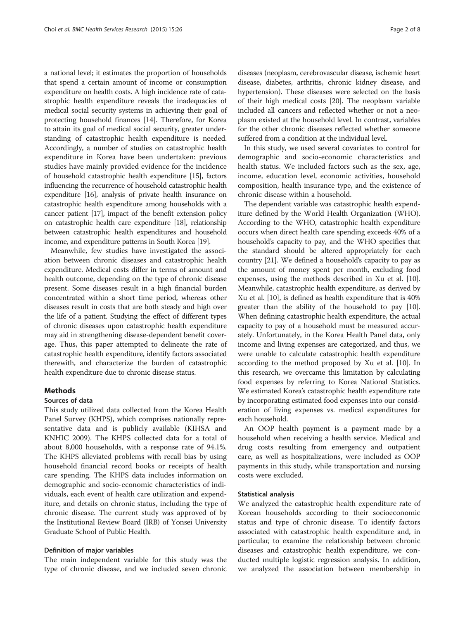a national level; it estimates the proportion of households that spend a certain amount of income or consumption expenditure on health costs. A high incidence rate of catastrophic health expenditure reveals the inadequacies of medical social security systems in achieving their goal of protecting household finances [[14](#page-7-0)]. Therefore, for Korea to attain its goal of medical social security, greater understanding of catastrophic health expenditure is needed. Accordingly, a number of studies on catastrophic health expenditure in Korea have been undertaken: previous studies have mainly provided evidence for the incidence of household catastrophic health expenditure [\[15](#page-7-0)], factors influencing the recurrence of household catastrophic health expenditure [\[16](#page-7-0)], analysis of private health insurance on catastrophic health expenditure among households with a cancer patient [[17](#page-7-0)], impact of the benefit extension policy on catastrophic health care expenditure [[18](#page-7-0)], relationship between catastrophic health expenditures and household income, and expenditure patterns in South Korea [[19\]](#page-7-0).

Meanwhile, few studies have investigated the association between chronic diseases and catastrophic health expenditure. Medical costs differ in terms of amount and health outcome, depending on the type of chronic disease present. Some diseases result in a high financial burden concentrated within a short time period, whereas other diseases result in costs that are both steady and high over the life of a patient. Studying the effect of different types of chronic diseases upon catastrophic health expenditure may aid in strengthening disease-dependent benefit coverage. Thus, this paper attempted to delineate the rate of catastrophic health expenditure, identify factors associated therewith, and characterize the burden of catastrophic health expenditure due to chronic disease status.

## **Methods**

#### Sources of data

This study utilized data collected from the Korea Health Panel Survey (KHPS), which comprises nationally representative data and is publicly available (KIHSA and KNHIC 2009). The KHPS collected data for a total of about 8,000 households, with a response rate of 94.1%. The KHPS alleviated problems with recall bias by using household financial record books or receipts of health care spending. The KHPS data includes information on demographic and socio-economic characteristics of individuals, each event of health care utilization and expenditure, and details on chronic status, including the type of chronic disease. The current study was approved of by the Institutional Review Board (IRB) of Yonsei University Graduate School of Public Health.

#### Definition of major variables

The main independent variable for this study was the type of chronic disease, and we included seven chronic

diseases (neoplasm, cerebrovascular disease, ischemic heart disease, diabetes, arthritis, chronic kidney disease, and hypertension). These diseases were selected on the basis of their high medical costs [\[20\]](#page-7-0). The neoplasm variable included all cancers and reflected whether or not a neoplasm existed at the household level. In contrast, variables for the other chronic diseases reflected whether someone suffered from a condition at the individual level.

In this study, we used several covariates to control for demographic and socio-economic characteristics and health status. We included factors such as the sex, age, income, education level, economic activities, household composition, health insurance type, and the existence of chronic disease within a household.

The dependent variable was catastrophic health expenditure defined by the World Health Organization (WHO). According to the WHO, catastrophic health expenditure occurs when direct health care spending exceeds 40% of a household's capacity to pay, and the WHO specifies that the standard should be altered appropriately for each country [[21](#page-7-0)]. We defined a household's capacity to pay as the amount of money spent per month, excluding food expenses, using the methods described in Xu et al. [[10](#page-7-0)]. Meanwhile, catastrophic health expenditure, as derived by Xu et al. [\[10\]](#page-7-0), is defined as health expenditure that is 40% greater than the ability of the household to pay [[10](#page-7-0)]. When defining catastrophic health expenditure, the actual capacity to pay of a household must be measured accurately. Unfortunately, in the Korea Health Panel data, only income and living expenses are categorized, and thus, we were unable to calculate catastrophic health expenditure according to the method proposed by Xu et al. [\[10\]](#page-7-0). In this research, we overcame this limitation by calculating food expenses by referring to Korea National Statistics. We estimated Korea's catastrophic health expenditure rate by incorporating estimated food expenses into our consideration of living expenses vs. medical expenditures for each household.

An OOP health payment is a payment made by a household when receiving a health service. Medical and drug costs resulting from emergency and outpatient care, as well as hospitalizations, were included as OOP payments in this study, while transportation and nursing costs were excluded.

#### Statistical analysis

We analyzed the catastrophic health expenditure rate of Korean households according to their socioeconomic status and type of chronic disease. To identify factors associated with catastrophic health expenditure and, in particular, to examine the relationship between chronic diseases and catastrophic health expenditure, we conducted multiple logistic regression analysis. In addition, we analyzed the association between membership in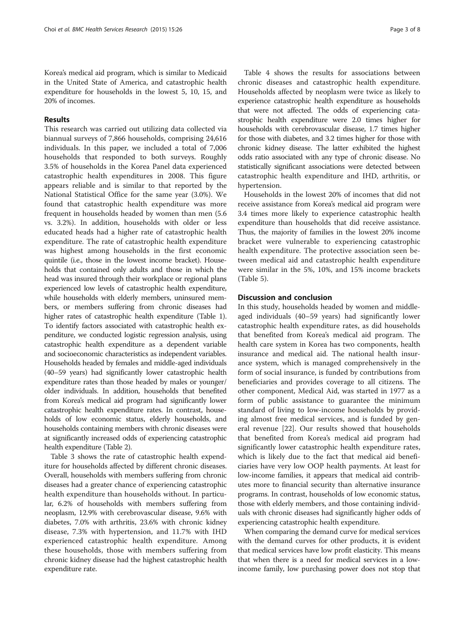Korea's medical aid program, which is similar to Medicaid in the United State of America, and catastrophic health expenditure for households in the lowest 5, 10, 15, and 20% of incomes.

#### Results

This research was carried out utilizing data collected via biannual surveys of 7,866 households, comprising 24,616 individuals. In this paper, we included a total of 7,006 households that responded to both surveys. Roughly 3.5% of households in the Korea Panel data experienced catastrophic health expenditures in 2008. This figure appears reliable and is similar to that reported by the National Statistical Office for the same year (3.0%). We found that catastrophic health expenditure was more frequent in households headed by women than men (5.6 vs. 3.2%). In addition, households with older or less educated heads had a higher rate of catastrophic health expenditure. The rate of catastrophic health expenditure was highest among households in the first economic quintile (i.e., those in the lowest income bracket). Households that contained only adults and those in which the head was insured through their workplace or regional plans experienced low levels of catastrophic health expenditure, while households with elderly members, uninsured members, or members suffering from chronic diseases had higher rates of catastrophic health expenditure (Table [1](#page-3-0)). To identify factors associated with catastrophic health expenditure, we conducted logistic regression analysis, using catastrophic health expenditure as a dependent variable and socioeconomic characteristics as independent variables. Households headed by females and middle-aged individuals (40–59 years) had significantly lower catastrophic health expenditure rates than those headed by males or younger/ older individuals. In addition, households that benefited from Korea's medical aid program had significantly lower catastrophic health expenditure rates. In contrast, households of low economic status, elderly households, and households containing members with chronic diseases were at significantly increased odds of experiencing catastrophic health expenditure (Table [2](#page-4-0)).

Table [3](#page-5-0) shows the rate of catastrophic health expenditure for households affected by different chronic diseases. Overall, households with members suffering from chronic diseases had a greater chance of experiencing catastrophic health expenditure than households without. In particular, 6.2% of households with members suffering from neoplasm, 12.9% with cerebrovascular disease, 9.6% with diabetes, 7.0% with arthritis, 23.6% with chronic kidney disease, 7.3% with hypertension, and 11.7% with IHD experienced catastrophic health expenditure. Among these households, those with members suffering from chronic kidney disease had the highest catastrophic health expenditure rate.

Table [4](#page-6-0) shows the results for associations between chronic diseases and catastrophic health expenditure. Households affected by neoplasm were twice as likely to experience catastrophic health expenditure as households that were not affected. The odds of experiencing catastrophic health expenditure were 2.0 times higher for households with cerebrovascular disease, 1.7 times higher for those with diabetes, and 3.2 times higher for those with chronic kidney disease. The latter exhibited the highest odds ratio associated with any type of chronic disease. No statistically significant associations were detected between catastrophic health expenditure and IHD, arthritis, or hypertension.

Households in the lowest 20% of incomes that did not receive assistance from Korea's medical aid program were 3.4 times more likely to experience catastrophic health expenditure than households that did receive assistance. Thus, the majority of families in the lowest 20% income bracket were vulnerable to experiencing catastrophic health expenditure. The protective association seen between medical aid and catastrophic health expenditure were similar in the 5%, 10%, and 15% income brackets (Table [5\)](#page-6-0).

#### Discussion and conclusion

In this study, households headed by women and middleaged individuals (40–59 years) had significantly lower catastrophic health expenditure rates, as did households that benefited from Korea's medical aid program. The health care system in Korea has two components, health insurance and medical aid. The national health insurance system, which is managed comprehensively in the form of social insurance, is funded by contributions from beneficiaries and provides coverage to all citizens. The other component, Medical Aid, was started in 1977 as a form of public assistance to guarantee the minimum standard of living to low-income households by providing almost free medical services, and is funded by general revenue [\[22](#page-7-0)]. Our results showed that households that benefited from Korea's medical aid program had significantly lower catastrophic health expenditure rates, which is likely due to the fact that medical aid beneficiaries have very low OOP health payments. At least for low-income families, it appears that medical aid contributes more to financial security than alternative insurance programs. In contrast, households of low economic status, those with elderly members, and those containing individuals with chronic diseases had significantly higher odds of experiencing catastrophic health expenditure.

When comparing the demand curve for medical services with the demand curves for other products, it is evident that medical services have low profit elasticity. This means that when there is a need for medical services in a lowincome family, low purchasing power does not stop that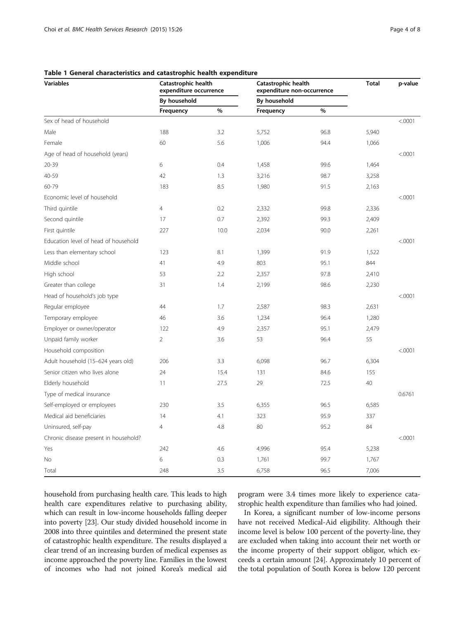| <b>Variables</b>                      | Catastrophic health<br>expenditure occurrence |      | Catastrophic health<br>expenditure non-occurrence |      | <b>Total</b> | p-value |
|---------------------------------------|-----------------------------------------------|------|---------------------------------------------------|------|--------------|---------|
|                                       | By household                                  |      | By household                                      |      |              |         |
|                                       | Frequency                                     | %    | Frequency                                         | $\%$ |              |         |
| Sex of head of household              |                                               |      |                                                   |      |              | < .0001 |
| Male                                  | 188                                           | 3.2  | 5,752                                             | 96.8 | 5,940        |         |
| Female                                | 60                                            | 5.6  | 1,006                                             | 94.4 | 1,066        |         |
| Age of head of household (years)      |                                               |      |                                                   |      |              | < .0001 |
| 20-39                                 | 6                                             | 0.4  | 1,458                                             | 99.6 | 1,464        |         |
| 40-59                                 | 42                                            | 1.3  | 3,216                                             | 98.7 | 3,258        |         |
| 60-79                                 | 183                                           | 8.5  | 1,980                                             | 91.5 | 2,163        |         |
| Economic level of household           |                                               |      |                                                   |      |              | < .0001 |
| Third quintile                        | $\overline{4}$                                | 0.2  | 2,332                                             | 99.8 | 2,336        |         |
| Second quintile                       | 17                                            | 0.7  | 2,392                                             | 99.3 | 2,409        |         |
| First quintile                        | 227                                           | 10.0 | 2,034                                             | 90.0 | 2,261        |         |
| Education level of head of household  |                                               |      |                                                   |      |              | < .0001 |
| Less than elementary school           | 123                                           | 8.1  | 1,399                                             | 91.9 | 1,522        |         |
| Middle school                         | 41                                            | 4.9  | 803                                               | 95.1 | 844          |         |
| High school                           | 53                                            | 2.2  | 2,357                                             | 97.8 | 2,410        |         |
| Greater than college                  | 31                                            | 1.4  | 2,199                                             | 98.6 | 2,230        |         |
| Head of household's job type          |                                               |      |                                                   |      |              | < .0001 |
| Regular employee                      | 44                                            | 1.7  | 2,587                                             | 98.3 | 2,631        |         |
| Temporary employee                    | 46                                            | 3.6  | 1,234                                             | 96.4 | 1,280        |         |
| Employer or owner/operator            | 122                                           | 4.9  | 2,357                                             | 95.1 | 2,479        |         |
| Unpaid family worker                  | $\overline{2}$                                | 3.6  | 53                                                | 96.4 | 55           |         |
| Household composition                 |                                               |      |                                                   |      |              | < .0001 |
| Adult household (15-624 years old)    | 206                                           | 3.3  | 6,098                                             | 96.7 | 6,304        |         |
| Senior citizen who lives alone        | 24                                            | 15.4 | 131                                               | 84.6 | 155          |         |
| Elderly household                     | 11                                            | 27.5 | 29                                                | 72.5 | 40           |         |
| Type of medical insurance             |                                               |      |                                                   |      |              | 0.6761  |
| Self-employed or employees            | 230                                           | 3.5  | 6,355                                             | 96.5 | 6,585        |         |
| Medical aid beneficiaries             | 14                                            | 4.1  | 323                                               | 95.9 | 337          |         |
| Uninsured, self-pay                   | $\overline{4}$                                | 4.8  | 80                                                | 95.2 | 84           |         |
| Chronic disease present in household? |                                               |      |                                                   |      |              | < .0001 |
| Yes                                   | 242                                           | 4.6  | 4,996                                             | 95.4 | 5,238        |         |
| No                                    | 6                                             | 0.3  | 1,761                                             | 99.7 | 1,767        |         |
| Total                                 | 248                                           | 3.5  | 6,758                                             | 96.5 | 7,006        |         |

#### <span id="page-3-0"></span>Table 1 General characteristics and catastrophic health expenditure

household from purchasing health care. This leads to high health care expenditures relative to purchasing ability, which can result in low-income households falling deeper into poverty [[23](#page-7-0)]. Our study divided household income in 2008 into three quintiles and determined the present state of catastrophic health expenditure. The results displayed a clear trend of an increasing burden of medical expenses as income approached the poverty line. Families in the lowest of incomes who had not joined Korea's medical aid

program were 3.4 times more likely to experience catastrophic health expenditure than families who had joined.

In Korea, a significant number of low-income persons have not received Medical-Aid eligibility. Although their income level is below 100 percent of the poverty-line, they are excluded when taking into account their net worth or the income property of their support obligor, which exceeds a certain amount [[24](#page-7-0)]. Approximately 10 percent of the total population of South Korea is below 120 percent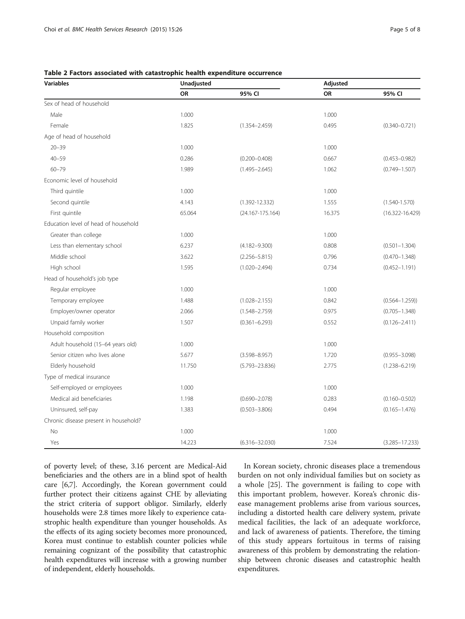| <b>Variables</b>                      | Unadjusted |                      | Adjusted |                     |
|---------------------------------------|------------|----------------------|----------|---------------------|
|                                       | OR         | 95% CI               | OR       | 95% CI              |
| Sex of head of household              |            |                      |          |                     |
| Male                                  | 1.000      |                      | 1.000    |                     |
| Female                                | 1.825      | $(1.354 - 2.459)$    | 0.495    | $(0.340 - 0.721)$   |
| Age of head of household              |            |                      |          |                     |
| $20 - 39$                             | 1.000      |                      | 1.000    |                     |
| $40 - 59$                             | 0.286      | $(0.200 - 0.408)$    | 0.667    | $(0.453 - 0.982)$   |
| $60 - 79$                             | 1.989      | $(1.495 - 2.645)$    | 1.062    | $(0.749 - 1.507)$   |
| Economic level of household           |            |                      |          |                     |
| Third quintile                        | 1.000      |                      | 1.000    |                     |
| Second quintile                       | 4.143      | $(1.392 - 12.332)$   | 1.555    | $(1.540 - 1.570)$   |
| First quintile                        | 65.064     | $(24.167 - 175.164)$ | 16.375   | $(16.322 - 16.429)$ |
| Education level of head of household  |            |                      |          |                     |
| Greater than college                  | 1.000      |                      | 1.000    |                     |
| Less than elementary school           | 6.237      | $(4.182 - 9.300)$    | 0.808    | $(0.501 - 1.304)$   |
| Middle school                         | 3.622      | $(2.256 - 5.815)$    | 0.796    | $(0.470 - 1.348)$   |
| High school                           | 1.595      | $(1.020 - 2.494)$    | 0.734    | $(0.452 - 1.191)$   |
| Head of household's job type          |            |                      |          |                     |
| Regular employee                      | 1.000      |                      | 1.000    |                     |
| Temporary employee                    | 1.488      | $(1.028 - 2.155)$    | 0.842    | $(0.564 - 1.259)$   |
| Employer/owner operator               | 2.066      | $(1.548 - 2.759)$    | 0.975    | $(0.705 - 1.348)$   |
| Unpaid family worker                  | 1.507      | $(0.361 - 6.293)$    | 0.552    | $(0.126 - 2.411)$   |
| Household composition                 |            |                      |          |                     |
| Adult household (15-64 years old)     | 1.000      |                      | 1.000    |                     |
| Senior citizen who lives alone        | 5.677      | $(3.598 - 8.957)$    | 1.720    | $(0.955 - 3.098)$   |
| Elderly household                     | 11.750     | $(5.793 - 23.836)$   | 2.775    | $(1.238 - 6.219)$   |
| Type of medical insurance             |            |                      |          |                     |
| Self-employed or employees            | 1.000      |                      | 1.000    |                     |
| Medical aid beneficiaries             | 1.198      | $(0.690 - 2.078)$    | 0.283    | $(0.160 - 0.502)$   |
| Uninsured, self-pay                   | 1.383      | $(0.503 - 3.806)$    | 0.494    | $(0.165 - 1.476)$   |
| Chronic disease present in household? |            |                      |          |                     |
| <b>No</b>                             | 1.000      |                      | 1.000    |                     |
| Yes                                   | 14.223     | $(6.316 - 32.030)$   | 7.524    | $(3.285 - 17.233)$  |

### <span id="page-4-0"></span>Table 2 Factors associated with catastrophic health expenditure occurrence

of poverty level; of these, 3.16 percent are Medical-Aid beneficiaries and the others are in a blind spot of health care [\[6,7\]](#page-7-0). Accordingly, the Korean government could further protect their citizens against CHE by alleviating the strict criteria of support obligor. Similarly, elderly households were 2.8 times more likely to experience catastrophic health expenditure than younger households. As the effects of its aging society becomes more pronounced, Korea must continue to establish counter policies while remaining cognizant of the possibility that catastrophic health expenditures will increase with a growing number of independent, elderly households.

In Korean society, chronic diseases place a tremendous burden on not only individual families but on society as a whole [\[25](#page-7-0)]. The government is failing to cope with this important problem, however. Korea's chronic disease management problems arise from various sources, including a distorted health care delivery system, private medical facilities, the lack of an adequate workforce, and lack of awareness of patients. Therefore, the timing of this study appears fortuitous in terms of raising awareness of this problem by demonstrating the relationship between chronic diseases and catastrophic health expenditures.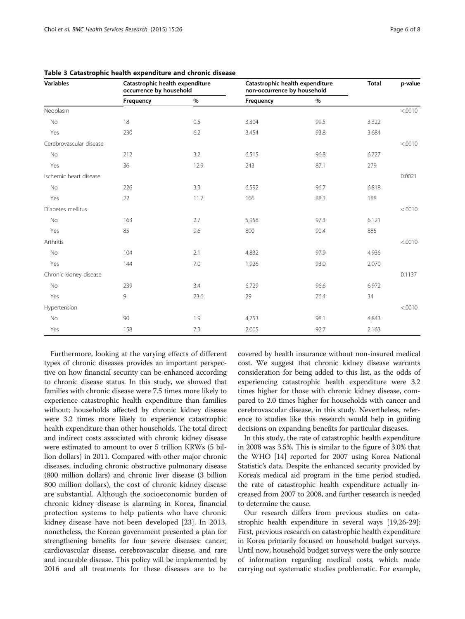| <b>Variables</b>        | Catastrophic health expenditure<br>occurrence by household |      | Catastrophic health expenditure<br>non-occurrence by household |      | <b>Total</b> | p-value |
|-------------------------|------------------------------------------------------------|------|----------------------------------------------------------------|------|--------------|---------|
|                         | Frequency                                                  | $\%$ | Frequency                                                      | $\%$ |              |         |
| Neoplasm                |                                                            |      |                                                                |      |              | < .0010 |
| No                      | 18                                                         | 0.5  | 3,304                                                          | 99.5 | 3,322        |         |
| Yes                     | 230                                                        | 6.2  | 3,454                                                          | 93.8 | 3,684        |         |
| Cerebrovascular disease |                                                            |      |                                                                |      |              | < .0010 |
| No                      | 212                                                        | 3.2  | 6,515                                                          | 96.8 | 6,727        |         |
| Yes                     | 36                                                         | 12.9 | 243                                                            | 87.1 | 279          |         |
| Ischemic heart disease  |                                                            |      |                                                                |      |              | 0.0021  |
| No                      | 226                                                        | 3.3  | 6,592                                                          | 96.7 | 6,818        |         |
| Yes                     | 22                                                         | 11.7 | 166                                                            | 88.3 | 188          |         |
| Diabetes mellitus       |                                                            |      |                                                                |      |              | < .0010 |
| No                      | 163                                                        | 2.7  | 5,958                                                          | 97.3 | 6,121        |         |
| Yes                     | 85                                                         | 9.6  | 800                                                            | 90.4 | 885          |         |
| Arthritis               |                                                            |      |                                                                |      |              | < .0010 |
| No                      | 104                                                        | 2.1  | 4,832                                                          | 97.9 | 4,936        |         |
| Yes                     | 144                                                        | 7.0  | 1,926                                                          | 93.0 | 2,070        |         |
| Chronic kidney disease  |                                                            |      |                                                                |      |              | 0.1137  |
| No                      | 239                                                        | 3.4  | 6,729                                                          | 96.6 | 6,972        |         |
| Yes                     | 9                                                          | 23.6 | 29                                                             | 76.4 | 34           |         |
| Hypertension            |                                                            |      |                                                                |      |              | < .0010 |
| No                      | 90                                                         | 1.9  | 4,753                                                          | 98.1 | 4,843        |         |
| Yes                     | 158                                                        | 7.3  | 2,005                                                          | 92.7 | 2,163        |         |

<span id="page-5-0"></span>Table 3 Catastrophic health expenditure and chronic disease

Furthermore, looking at the varying effects of different types of chronic diseases provides an important perspective on how financial security can be enhanced according to chronic disease status. In this study, we showed that families with chronic disease were 7.5 times more likely to experience catastrophic health expenditure than families without; households affected by chronic kidney disease were 3.2 times more likely to experience catastrophic health expenditure than other households. The total direct and indirect costs associated with chronic kidney disease were estimated to amount to over 5 trillion KRWs (5 billion dollars) in 2011. Compared with other major chronic diseases, including chronic obstructive pulmonary disease (800 million dollars) and chronic liver disease (3 billion 800 million dollars), the cost of chronic kidney disease are substantial. Although the socioeconomic burden of chronic kidney disease is alarming in Korea, financial protection systems to help patients who have chronic kidney disease have not been developed [[23\]](#page-7-0). In 2013, nonetheless, the Korean government presented a plan for strengthening benefits for four severe diseases: cancer, cardiovascular disease, cerebrovascular disease, and rare and incurable disease. This policy will be implemented by 2016 and all treatments for these diseases are to be

covered by health insurance without non-insured medical cost. We suggest that chronic kidney disease warrants consideration for being added to this list, as the odds of experiencing catastrophic health expenditure were 3.2 times higher for those with chronic kidney disease, compared to 2.0 times higher for households with cancer and cerebrovascular disease, in this study. Nevertheless, reference to studies like this research would help in guiding decisions on expanding benefits for particular diseases.

In this study, the rate of catastrophic health expenditure in 2008 was 3.5%. This is similar to the figure of 3.0% that the WHO [\[14](#page-7-0)] reported for 2007 using Korea National Statistic's data. Despite the enhanced security provided by Korea's medical aid program in the time period studied, the rate of catastrophic health expenditure actually increased from 2007 to 2008, and further research is needed to determine the cause.

Our research differs from previous studies on catastrophic health expenditure in several ways [[19,26](#page-7-0)-[29](#page-7-0)]: First, previous research on catastrophic health expenditure in Korea primarily focused on household budget surveys. Until now, household budget surveys were the only source of information regarding medical costs, which made carrying out systematic studies problematic. For example,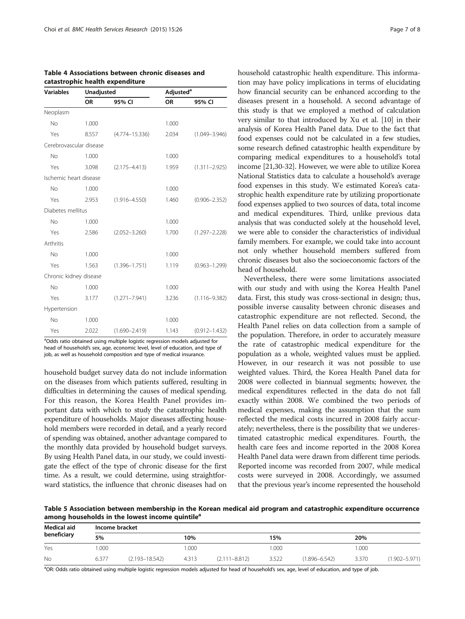| <b>Variables</b>        | Unadjusted |                    | Adjusted <sup>a</sup> |                   |  |
|-------------------------|------------|--------------------|-----------------------|-------------------|--|
|                         | OR         | 95% CI             | OR                    | 95% CI            |  |
| Neoplasm                |            |                    |                       |                   |  |
| No                      | 1.000      |                    | 1.000                 |                   |  |
| Yes                     | 8.557      | $(4.774 - 15.336)$ | 2.034                 | $(1.049 - 3.946)$ |  |
| Cerebrovascular disease |            |                    |                       |                   |  |
| No                      | 1.000      |                    | 1.000                 |                   |  |
| Yes                     | 3.098      | $(2.175 - 4.413)$  | 1.959                 | $(1.311 - 2.925)$ |  |
| Ischemic heart disease  |            |                    |                       |                   |  |
| N <sub>o</sub>          | 1.000      |                    | 1.000                 |                   |  |
| Yes                     | 2.953      | $(1.916 - 4.550)$  | 1.460                 | $(0.906 - 2.352)$ |  |
| Diabetes mellitus       |            |                    |                       |                   |  |
| No                      | 1.000      |                    | 1.000                 |                   |  |
| Yes                     | 2.586      | $(2.052 - 3.260)$  | 1.700                 | $(1.297 - 2.228)$ |  |
| Arthritis               |            |                    |                       |                   |  |
| No                      | 1.000      |                    | 1.000                 |                   |  |
| Yes                     | 1.563      | $(1.396 - 1.751)$  | 1.119                 | $(0.963 - 1.299)$ |  |
| Chronic kidney disease  |            |                    |                       |                   |  |
| No                      | 1.000      |                    | 1.000                 |                   |  |
| Yes                     | 3.177      | $(1.271 - 7.941)$  | 3.236                 | $(1.116 - 9.382)$ |  |
| Hypertension            |            |                    |                       |                   |  |
| No                      | 1.000      |                    | 1.000                 |                   |  |
| Yes                     | 2.022      | $(1.690 - 2.419)$  | 1.143                 | $(0.912 - 1.432)$ |  |

<span id="page-6-0"></span>

| Table 4 Associations between chronic diseases and |  |
|---------------------------------------------------|--|
| catastrophic health expenditure                   |  |

<sup>a</sup>Odds ratio obtained using multiple logistic regression models adjusted for head of household's sex, age, economic level, level of education, and type of job, as well as household composition and type of medical insurance.

household budget survey data do not include information on the diseases from which patients suffered, resulting in difficulties in determining the causes of medical spending. For this reason, the Korea Health Panel provides important data with which to study the catastrophic health expenditure of households. Major diseases affecting household members were recorded in detail, and a yearly record of spending was obtained, another advantage compared to the monthly data provided by household budget surveys. By using Health Panel data, in our study, we could investigate the effect of the type of chronic disease for the first time. As a result, we could determine, using straightforward statistics, the influence that chronic diseases had on household catastrophic health expenditure. This information may have policy implications in terms of elucidating how financial security can be enhanced according to the diseases present in a household. A second advantage of this study is that we employed a method of calculation very similar to that introduced by Xu et al. [\[10](#page-7-0)] in their analysis of Korea Health Panel data. Due to the fact that food expenses could not be calculated in a few studies, some research defined catastrophic health expenditure by comparing medical expenditures to a household's total income [\[21,30](#page-7-0)-[32\]](#page-7-0). However, we were able to utilize Korea National Statistics data to calculate a household's average food expenses in this study. We estimated Korea's catastrophic health expenditure rate by utilizing proportionate food expenses applied to two sources of data, total income and medical expenditures. Third, unlike previous data analysis that was conducted solely at the household level, we were able to consider the characteristics of individual family members. For example, we could take into account not only whether household members suffered from chronic diseases but also the socioeconomic factors of the head of household.

Nevertheless, there were some limitations associated with our study and with using the Korea Health Panel data. First, this study was cross-sectional in design; thus, possible inverse causality between chronic diseases and catastrophic expenditure are not reflected. Second, the Health Panel relies on data collection from a sample of the population. Therefore, in order to accurately measure the rate of catastrophic medical expenditure for the population as a whole, weighted values must be applied. However, in our research it was not possible to use weighted values. Third, the Korea Health Panel data for 2008 were collected in biannual segments; however, the medical expenditures reflected in the data do not fall exactly within 2008. We combined the two periods of medical expenses, making the assumption that the sum reflected the medical costs incurred in 2008 fairly accurately; nevertheless, there is the possibility that we underestimated catastrophic medical expenditures. Fourth, the health care fees and income reported in the 2008 Korea Health Panel data were drawn from different time periods. Reported income was recorded from 2007, while medical costs were surveyed in 2008. Accordingly, we assumed that the previous year's income represented the household

Table 5 Association between membership in the Korean medical aid program and catastrophic expenditure occurrence among households in the lowest income quintile<sup>a</sup>

| Medical aid<br>beneficiary | Income bracket |                    |       |                   |       |                   |       |                   |  |  |
|----------------------------|----------------|--------------------|-------|-------------------|-------|-------------------|-------|-------------------|--|--|
|                            | 5%             |                    | 10%   |                   | 15%   |                   | 20%   |                   |  |  |
| Yes                        | .000           |                    | .000  |                   | .000. |                   | 000.1 |                   |  |  |
| <b>No</b>                  | 6.377          | $(2.193 - 18.542)$ | 4.313 | $(2.111 - 8.812)$ | 3.522 | $(1.896 - 6.542)$ | 3.370 | $(1.902 - 5.971)$ |  |  |

<sup>a</sup>OR: Odds ratio obtained using multiple logistic regression models adjusted for head of household's sex, age, level of education, and type of job.